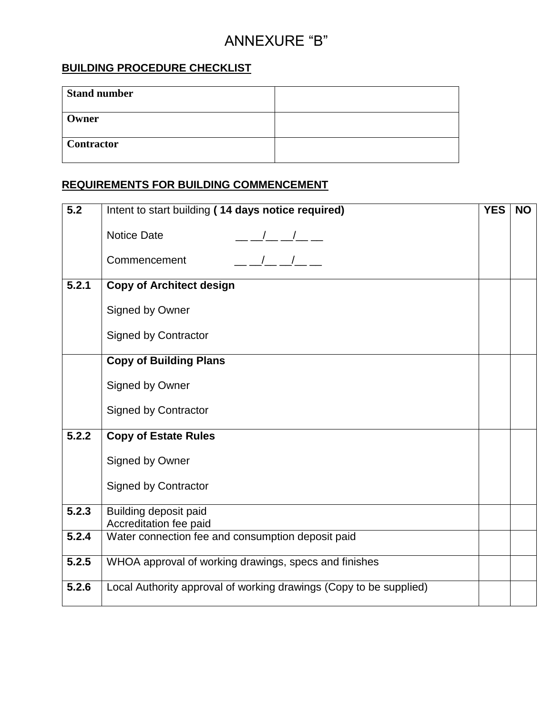## ANNEXURE "B"

## **BUILDING PROCEDURE CHECKLIST**

| <b>Stand number</b> |  |
|---------------------|--|
| Owner               |  |
| <b>Contractor</b>   |  |

## **REQUIREMENTS FOR BUILDING COMMENCEMENT**

| 5.2   | Intent to start building (14 days notice required)                 | <b>YES</b> | <b>NO</b> |
|-------|--------------------------------------------------------------------|------------|-----------|
|       | <b>Notice Date</b>                                                 |            |           |
|       | $\frac{1}{2}$ $\frac{1}{2}$ $\frac{1}{2}$<br>Commencement          |            |           |
| 5.2.1 | <b>Copy of Architect design</b>                                    |            |           |
|       | Signed by Owner                                                    |            |           |
|       | <b>Signed by Contractor</b>                                        |            |           |
|       | <b>Copy of Building Plans</b>                                      |            |           |
|       | Signed by Owner                                                    |            |           |
|       | <b>Signed by Contractor</b>                                        |            |           |
| 5.2.2 | <b>Copy of Estate Rules</b>                                        |            |           |
|       | Signed by Owner                                                    |            |           |
|       | <b>Signed by Contractor</b>                                        |            |           |
| 5.2.3 | <b>Building deposit paid</b><br>Accreditation fee paid             |            |           |
| 5.2.4 | Water connection fee and consumption deposit paid                  |            |           |
| 5.2.5 | WHOA approval of working drawings, specs and finishes              |            |           |
| 5.2.6 | Local Authority approval of working drawings (Copy to be supplied) |            |           |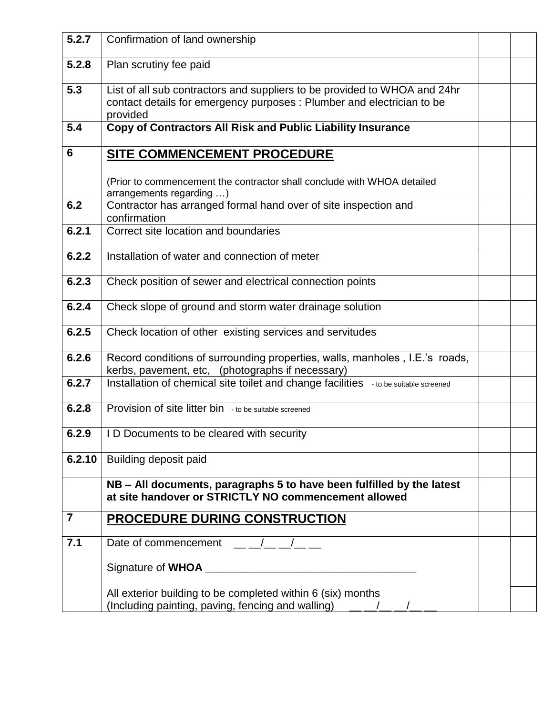| 5.2.7          | Confirmation of land ownership                                                                                                                                  |  |
|----------------|-----------------------------------------------------------------------------------------------------------------------------------------------------------------|--|
| 5.2.8          | Plan scrutiny fee paid                                                                                                                                          |  |
| 5.3            | List of all sub contractors and suppliers to be provided to WHOA and 24hr<br>contact details for emergency purposes : Plumber and electrician to be<br>provided |  |
| 5.4            | <b>Copy of Contractors All Risk and Public Liability Insurance</b>                                                                                              |  |
| 6              | <b>SITE COMMENCEMENT PROCEDURE</b>                                                                                                                              |  |
|                | (Prior to commencement the contractor shall conclude with WHOA detailed<br>arrangements regarding )                                                             |  |
| 6.2            | Contractor has arranged formal hand over of site inspection and<br>confirmation                                                                                 |  |
| 6.2.1          | Correct site location and boundaries                                                                                                                            |  |
| 6.2.2          | Installation of water and connection of meter                                                                                                                   |  |
| 6.2.3          | Check position of sewer and electrical connection points                                                                                                        |  |
| 6.2.4          | Check slope of ground and storm water drainage solution                                                                                                         |  |
| 6.2.5          | Check location of other existing services and servitudes                                                                                                        |  |
| 6.2.6          | Record conditions of surrounding properties, walls, manholes, I.E.'s roads,<br>kerbs, pavement, etc, (photographs if necessary)                                 |  |
| 6.2.7          | Installation of chemical site toilet and change facilities - to be suitable screened                                                                            |  |
| 6.2.8          | Provision of site litter bin - to be suitable screened                                                                                                          |  |
| 6.2.9          | ID Documents to be cleared with security                                                                                                                        |  |
| 6.2.10         | Building deposit paid                                                                                                                                           |  |
|                | NB - All documents, paragraphs 5 to have been fulfilled by the latest<br>at site handover or STRICTLY NO commencement allowed                                   |  |
| $\overline{7}$ | <b>PROCEDURE DURING CONSTRUCTION</b>                                                                                                                            |  |
| 7.1            | Date of commencement / /                                                                                                                                        |  |
|                |                                                                                                                                                                 |  |
|                | All exterior building to be completed within 6 (six) months<br>(Including painting, paving, fencing and walling)                                                |  |